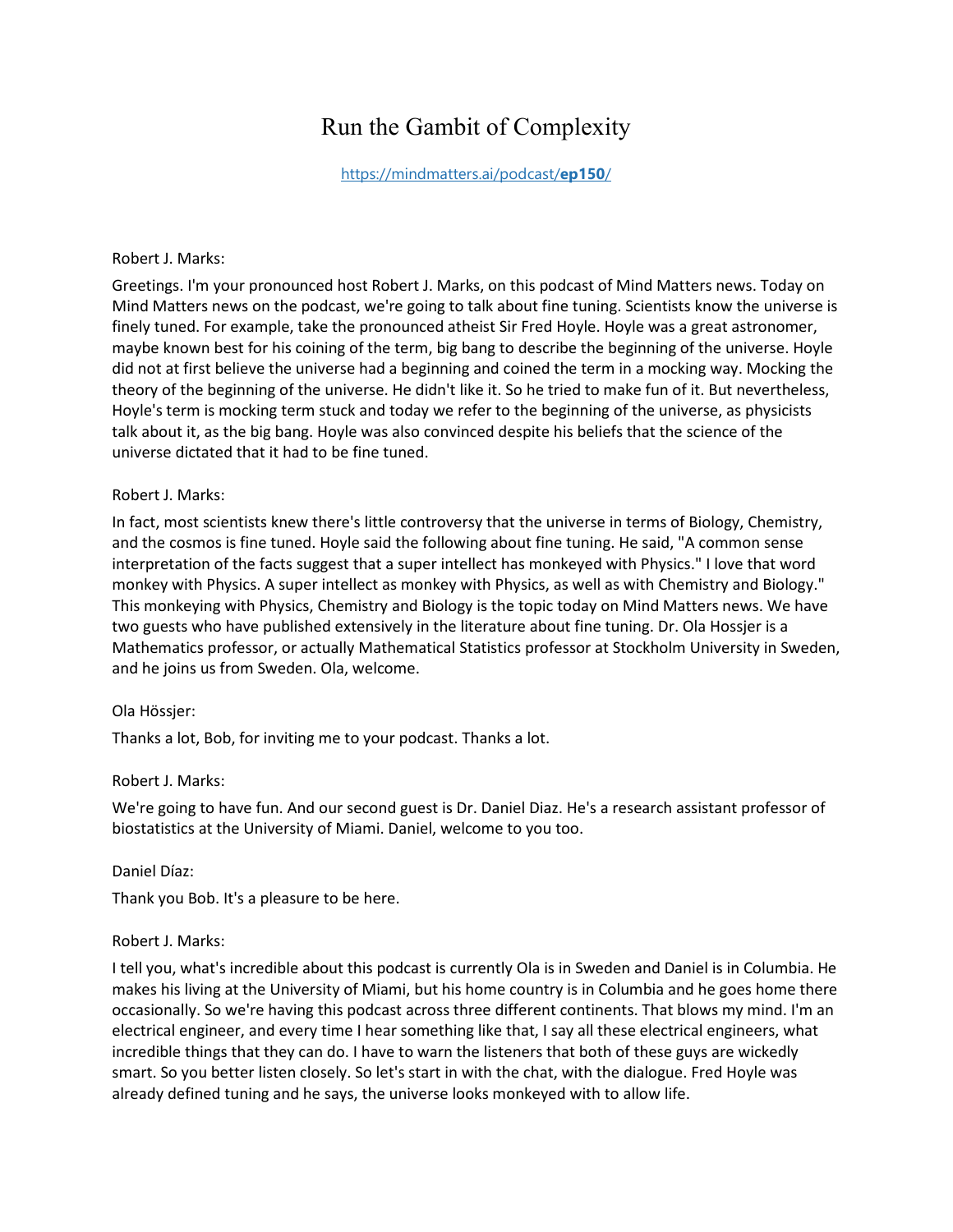# Run the Gambit of Complexity

[https://mindmatters.ai/podcast/](https://mindmatters.ai/?post_type=podcast&p=14557)**ep150**/

#### Robert J. Marks:

Greetings. I'm your pronounced host Robert J. Marks, on this podcast of Mind Matters news. Today on Mind Matters news on the podcast, we're going to talk about fine tuning. Scientists know the universe is finely tuned. For example, take the pronounced atheist Sir Fred Hoyle. Hoyle was a great astronomer, maybe known best for his coining of the term, big bang to describe the beginning of the universe. Hoyle did not at first believe the universe had a beginning and coined the term in a mocking way. Mocking the theory of the beginning of the universe. He didn't like it. So he tried to make fun of it. But nevertheless, Hoyle's term is mocking term stuck and today we refer to the beginning of the universe, as physicists talk about it, as the big bang. Hoyle was also convinced despite his beliefs that the science of the universe dictated that it had to be fine tuned.

#### Robert J. Marks:

In fact, most scientists knew there's little controversy that the universe in terms of Biology, Chemistry, and the cosmos is fine tuned. Hoyle said the following about fine tuning. He said, "A common sense interpretation of the facts suggest that a super intellect has monkeyed with Physics." I love that word monkey with Physics. A super intellect as monkey with Physics, as well as with Chemistry and Biology." This monkeying with Physics, Chemistry and Biology is the topic today on Mind Matters news. We have two guests who have published extensively in the literature about fine tuning. Dr. Ola Hossjer is a Mathematics professor, or actually Mathematical Statistics professor at Stockholm University in Sweden, and he joins us from Sweden. Ola, welcome.

# Ola Hössjer:

Thanks a lot, Bob, for inviting me to your podcast. Thanks a lot.

# Robert J. Marks:

We're going to have fun. And our second guest is Dr. Daniel Diaz. He's a research assistant professor of biostatistics at the University of Miami. Daniel, welcome to you too.

#### Daniel Díaz:

Thank you Bob. It's a pleasure to be here.

#### Robert J. Marks:

I tell you, what's incredible about this podcast is currently Ola is in Sweden and Daniel is in Columbia. He makes his living at the University of Miami, but his home country is in Columbia and he goes home there occasionally. So we're having this podcast across three different continents. That blows my mind. I'm an electrical engineer, and every time I hear something like that, I say all these electrical engineers, what incredible things that they can do. I have to warn the listeners that both of these guys are wickedly smart. So you better listen closely. So let's start in with the chat, with the dialogue. Fred Hoyle was already defined tuning and he says, the universe looks monkeyed with to allow life.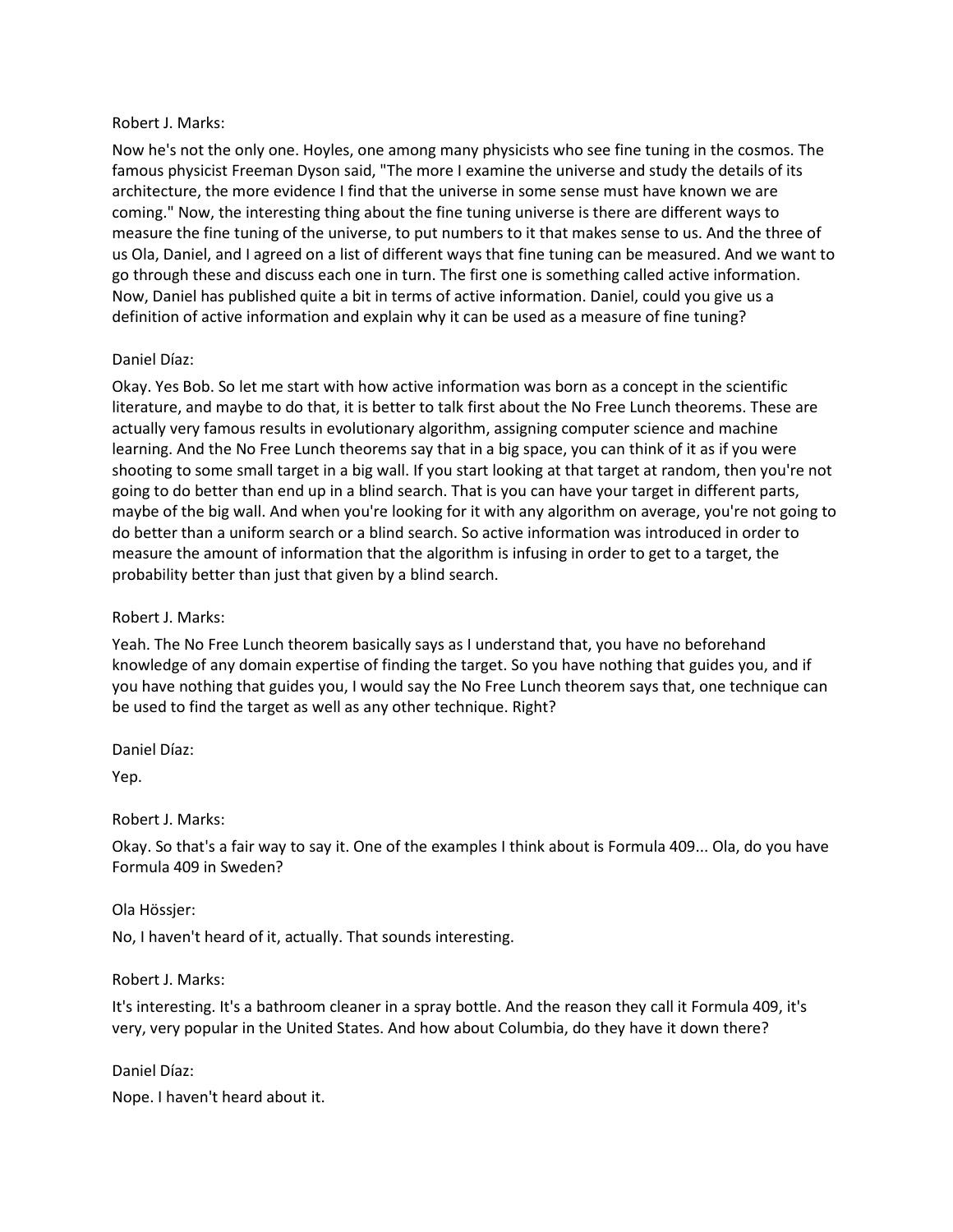Now he's not the only one. Hoyles, one among many physicists who see fine tuning in the cosmos. The famous physicist Freeman Dyson said, "The more I examine the universe and study the details of its architecture, the more evidence I find that the universe in some sense must have known we are coming." Now, the interesting thing about the fine tuning universe is there are different ways to measure the fine tuning of the universe, to put numbers to it that makes sense to us. And the three of us Ola, Daniel, and I agreed on a list of different ways that fine tuning can be measured. And we want to go through these and discuss each one in turn. The first one is something called active information. Now, Daniel has published quite a bit in terms of active information. Daniel, could you give us a definition of active information and explain why it can be used as a measure of fine tuning?

# Daniel Díaz:

Okay. Yes Bob. So let me start with how active information was born as a concept in the scientific literature, and maybe to do that, it is better to talk first about the No Free Lunch theorems. These are actually very famous results in evolutionary algorithm, assigning computer science and machine learning. And the No Free Lunch theorems say that in a big space, you can think of it as if you were shooting to some small target in a big wall. If you start looking at that target at random, then you're not going to do better than end up in a blind search. That is you can have your target in different parts, maybe of the big wall. And when you're looking for it with any algorithm on average, you're not going to do better than a uniform search or a blind search. So active information was introduced in order to measure the amount of information that the algorithm is infusing in order to get to a target, the probability better than just that given by a blind search.

# Robert J. Marks:

Yeah. The No Free Lunch theorem basically says as I understand that, you have no beforehand knowledge of any domain expertise of finding the target. So you have nothing that guides you, and if you have nothing that guides you, I would say the No Free Lunch theorem says that, one technique can be used to find the target as well as any other technique. Right?

Daniel Díaz:

Yep.

#### Robert J. Marks:

Okay. So that's a fair way to say it. One of the examples I think about is Formula 409... Ola, do you have Formula 409 in Sweden?

#### Ola Hössjer:

No, I haven't heard of it, actually. That sounds interesting.

#### Robert J. Marks:

It's interesting. It's a bathroom cleaner in a spray bottle. And the reason they call it Formula 409, it's very, very popular in the United States. And how about Columbia, do they have it down there?

Daniel Díaz:

Nope. I haven't heard about it.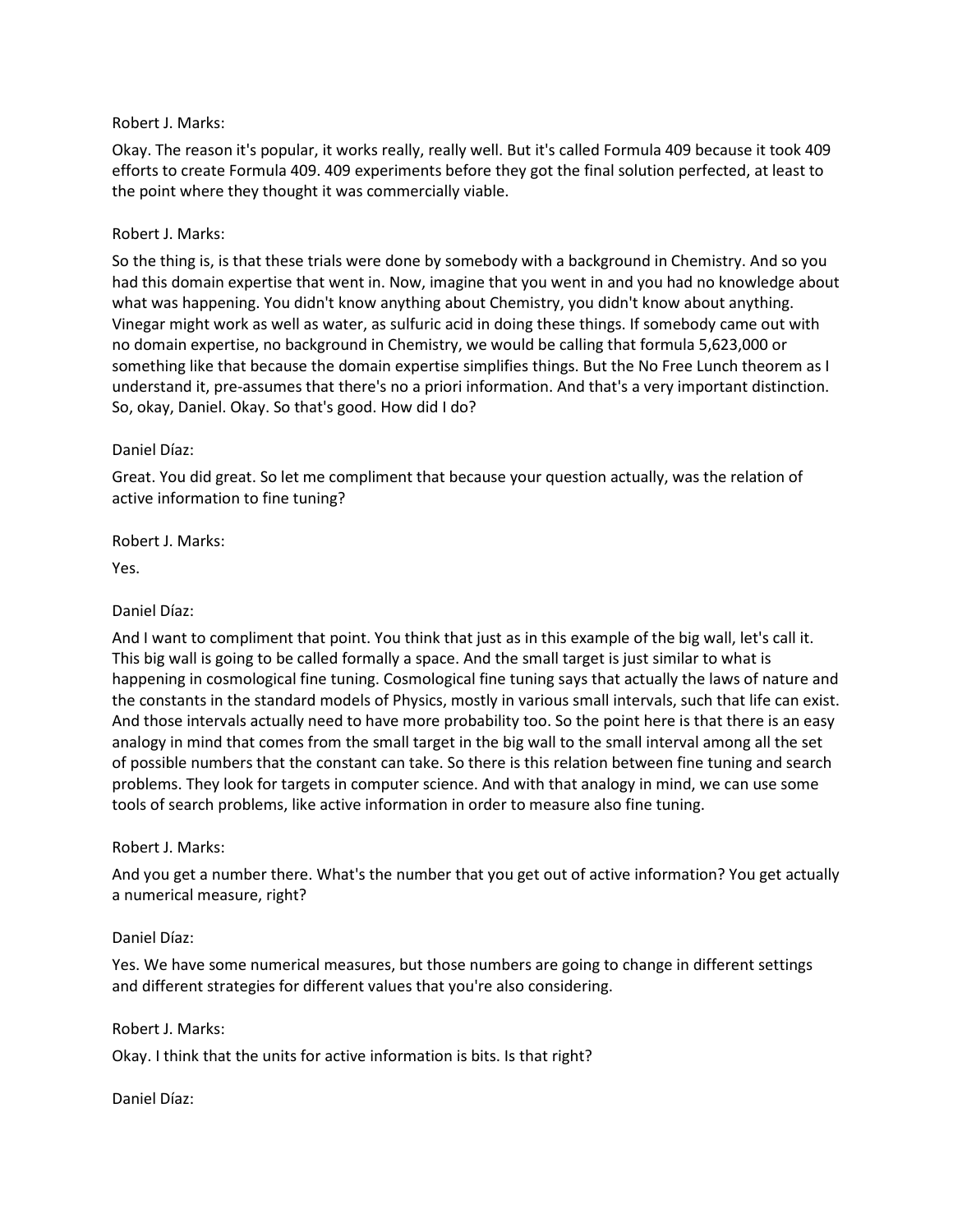Okay. The reason it's popular, it works really, really well. But it's called Formula 409 because it took 409 efforts to create Formula 409. 409 experiments before they got the final solution perfected, at least to the point where they thought it was commercially viable.

# Robert J. Marks:

So the thing is, is that these trials were done by somebody with a background in Chemistry. And so you had this domain expertise that went in. Now, imagine that you went in and you had no knowledge about what was happening. You didn't know anything about Chemistry, you didn't know about anything. Vinegar might work as well as water, as sulfuric acid in doing these things. If somebody came out with no domain expertise, no background in Chemistry, we would be calling that formula 5,623,000 or something like that because the domain expertise simplifies things. But the No Free Lunch theorem as I understand it, pre-assumes that there's no a priori information. And that's a very important distinction. So, okay, Daniel. Okay. So that's good. How did I do?

#### Daniel Díaz:

Great. You did great. So let me compliment that because your question actually, was the relation of active information to fine tuning?

Robert J. Marks:

Yes.

# Daniel Díaz:

And I want to compliment that point. You think that just as in this example of the big wall, let's call it. This big wall is going to be called formally a space. And the small target is just similar to what is happening in cosmological fine tuning. Cosmological fine tuning says that actually the laws of nature and the constants in the standard models of Physics, mostly in various small intervals, such that life can exist. And those intervals actually need to have more probability too. So the point here is that there is an easy analogy in mind that comes from the small target in the big wall to the small interval among all the set of possible numbers that the constant can take. So there is this relation between fine tuning and search problems. They look for targets in computer science. And with that analogy in mind, we can use some tools of search problems, like active information in order to measure also fine tuning.

# Robert J. Marks:

And you get a number there. What's the number that you get out of active information? You get actually a numerical measure, right?

# Daniel Díaz:

Yes. We have some numerical measures, but those numbers are going to change in different settings and different strategies for different values that you're also considering.

#### Robert J. Marks:

Okay. I think that the units for active information is bits. Is that right?

Daniel Díaz: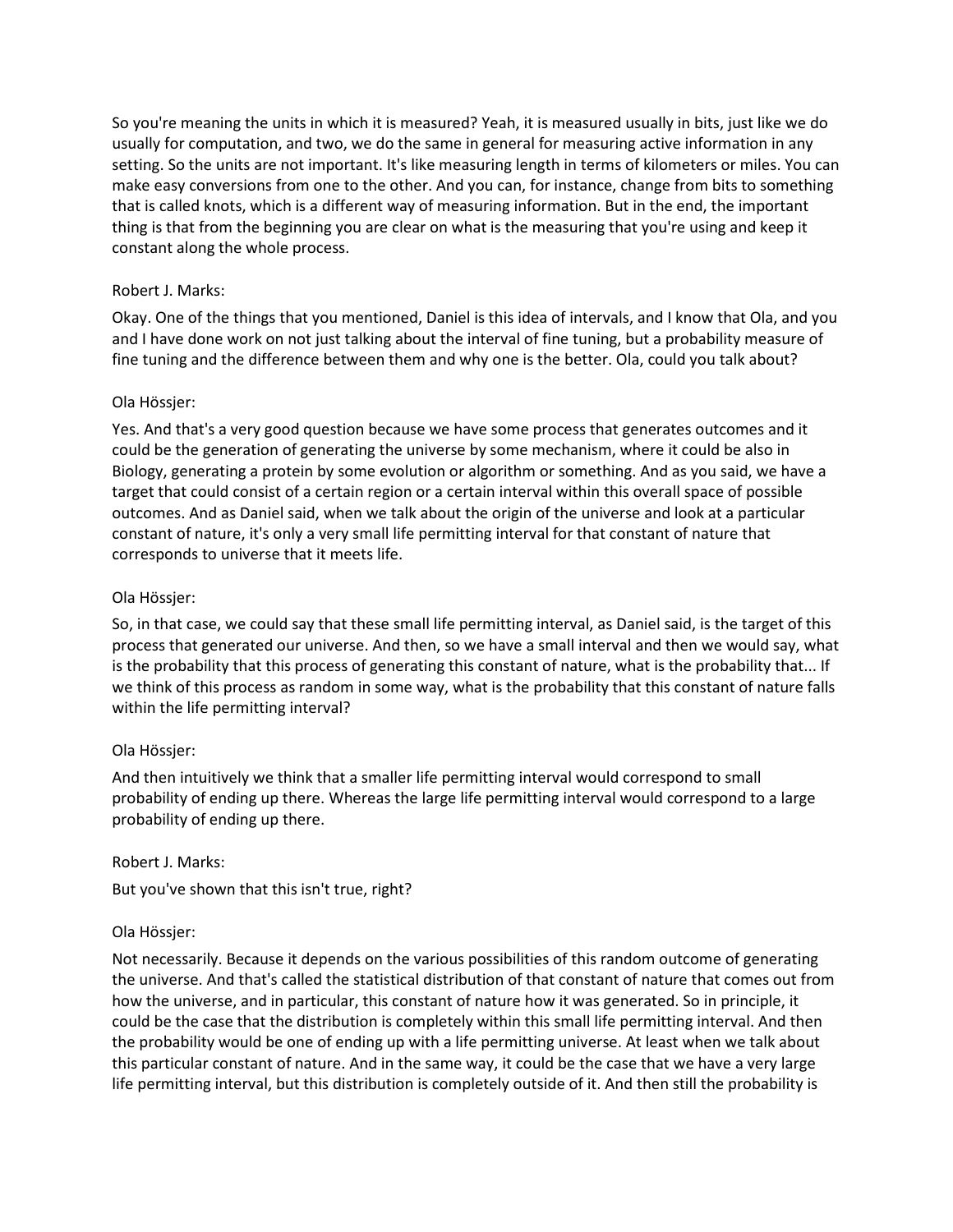So you're meaning the units in which it is measured? Yeah, it is measured usually in bits, just like we do usually for computation, and two, we do the same in general for measuring active information in any setting. So the units are not important. It's like measuring length in terms of kilometers or miles. You can make easy conversions from one to the other. And you can, for instance, change from bits to something that is called knots, which is a different way of measuring information. But in the end, the important thing is that from the beginning you are clear on what is the measuring that you're using and keep it constant along the whole process.

# Robert J. Marks:

Okay. One of the things that you mentioned, Daniel is this idea of intervals, and I know that Ola, and you and I have done work on not just talking about the interval of fine tuning, but a probability measure of fine tuning and the difference between them and why one is the better. Ola, could you talk about?

# Ola Hössjer:

Yes. And that's a very good question because we have some process that generates outcomes and it could be the generation of generating the universe by some mechanism, where it could be also in Biology, generating a protein by some evolution or algorithm or something. And as you said, we have a target that could consist of a certain region or a certain interval within this overall space of possible outcomes. And as Daniel said, when we talk about the origin of the universe and look at a particular constant of nature, it's only a very small life permitting interval for that constant of nature that corresponds to universe that it meets life.

# Ola Hössjer:

So, in that case, we could say that these small life permitting interval, as Daniel said, is the target of this process that generated our universe. And then, so we have a small interval and then we would say, what is the probability that this process of generating this constant of nature, what is the probability that... If we think of this process as random in some way, what is the probability that this constant of nature falls within the life permitting interval?

# Ola Hössjer:

And then intuitively we think that a smaller life permitting interval would correspond to small probability of ending up there. Whereas the large life permitting interval would correspond to a large probability of ending up there.

Robert J. Marks:

But you've shown that this isn't true, right?

# Ola Hössjer:

Not necessarily. Because it depends on the various possibilities of this random outcome of generating the universe. And that's called the statistical distribution of that constant of nature that comes out from how the universe, and in particular, this constant of nature how it was generated. So in principle, it could be the case that the distribution is completely within this small life permitting interval. And then the probability would be one of ending up with a life permitting universe. At least when we talk about this particular constant of nature. And in the same way, it could be the case that we have a very large life permitting interval, but this distribution is completely outside of it. And then still the probability is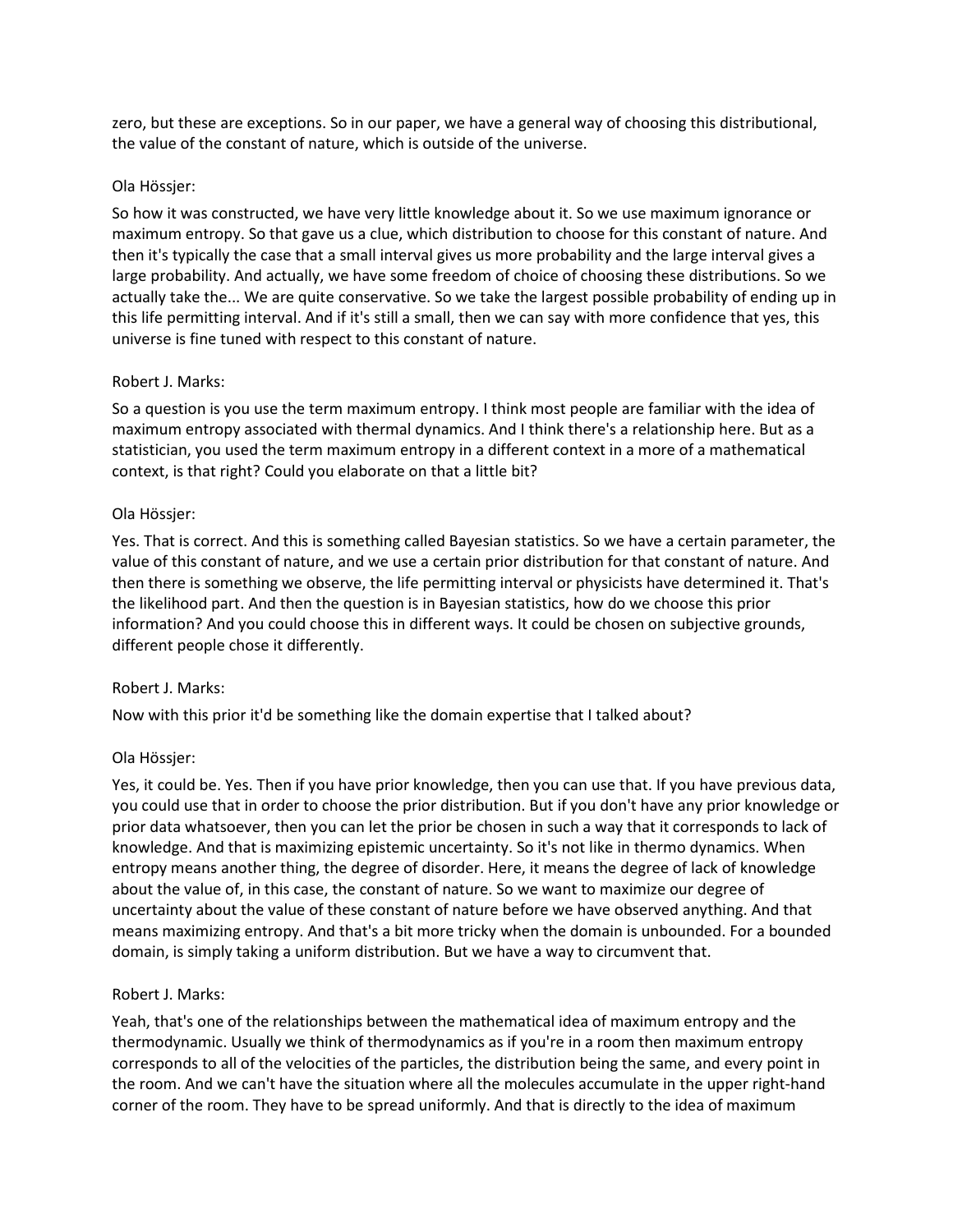zero, but these are exceptions. So in our paper, we have a general way of choosing this distributional, the value of the constant of nature, which is outside of the universe.

# Ola Hössjer:

So how it was constructed, we have very little knowledge about it. So we use maximum ignorance or maximum entropy. So that gave us a clue, which distribution to choose for this constant of nature. And then it's typically the case that a small interval gives us more probability and the large interval gives a large probability. And actually, we have some freedom of choice of choosing these distributions. So we actually take the... We are quite conservative. So we take the largest possible probability of ending up in this life permitting interval. And if it's still a small, then we can say with more confidence that yes, this universe is fine tuned with respect to this constant of nature.

# Robert J. Marks:

So a question is you use the term maximum entropy. I think most people are familiar with the idea of maximum entropy associated with thermal dynamics. And I think there's a relationship here. But as a statistician, you used the term maximum entropy in a different context in a more of a mathematical context, is that right? Could you elaborate on that a little bit?

# Ola Hössjer:

Yes. That is correct. And this is something called Bayesian statistics. So we have a certain parameter, the value of this constant of nature, and we use a certain prior distribution for that constant of nature. And then there is something we observe, the life permitting interval or physicists have determined it. That's the likelihood part. And then the question is in Bayesian statistics, how do we choose this prior information? And you could choose this in different ways. It could be chosen on subjective grounds, different people chose it differently.

# Robert J. Marks:

Now with this prior it'd be something like the domain expertise that I talked about?

# Ola Hössjer:

Yes, it could be. Yes. Then if you have prior knowledge, then you can use that. If you have previous data, you could use that in order to choose the prior distribution. But if you don't have any prior knowledge or prior data whatsoever, then you can let the prior be chosen in such a way that it corresponds to lack of knowledge. And that is maximizing epistemic uncertainty. So it's not like in thermo dynamics. When entropy means another thing, the degree of disorder. Here, it means the degree of lack of knowledge about the value of, in this case, the constant of nature. So we want to maximize our degree of uncertainty about the value of these constant of nature before we have observed anything. And that means maximizing entropy. And that's a bit more tricky when the domain is unbounded. For a bounded domain, is simply taking a uniform distribution. But we have a way to circumvent that.

# Robert J. Marks:

Yeah, that's one of the relationships between the mathematical idea of maximum entropy and the thermodynamic. Usually we think of thermodynamics as if you're in a room then maximum entropy corresponds to all of the velocities of the particles, the distribution being the same, and every point in the room. And we can't have the situation where all the molecules accumulate in the upper right-hand corner of the room. They have to be spread uniformly. And that is directly to the idea of maximum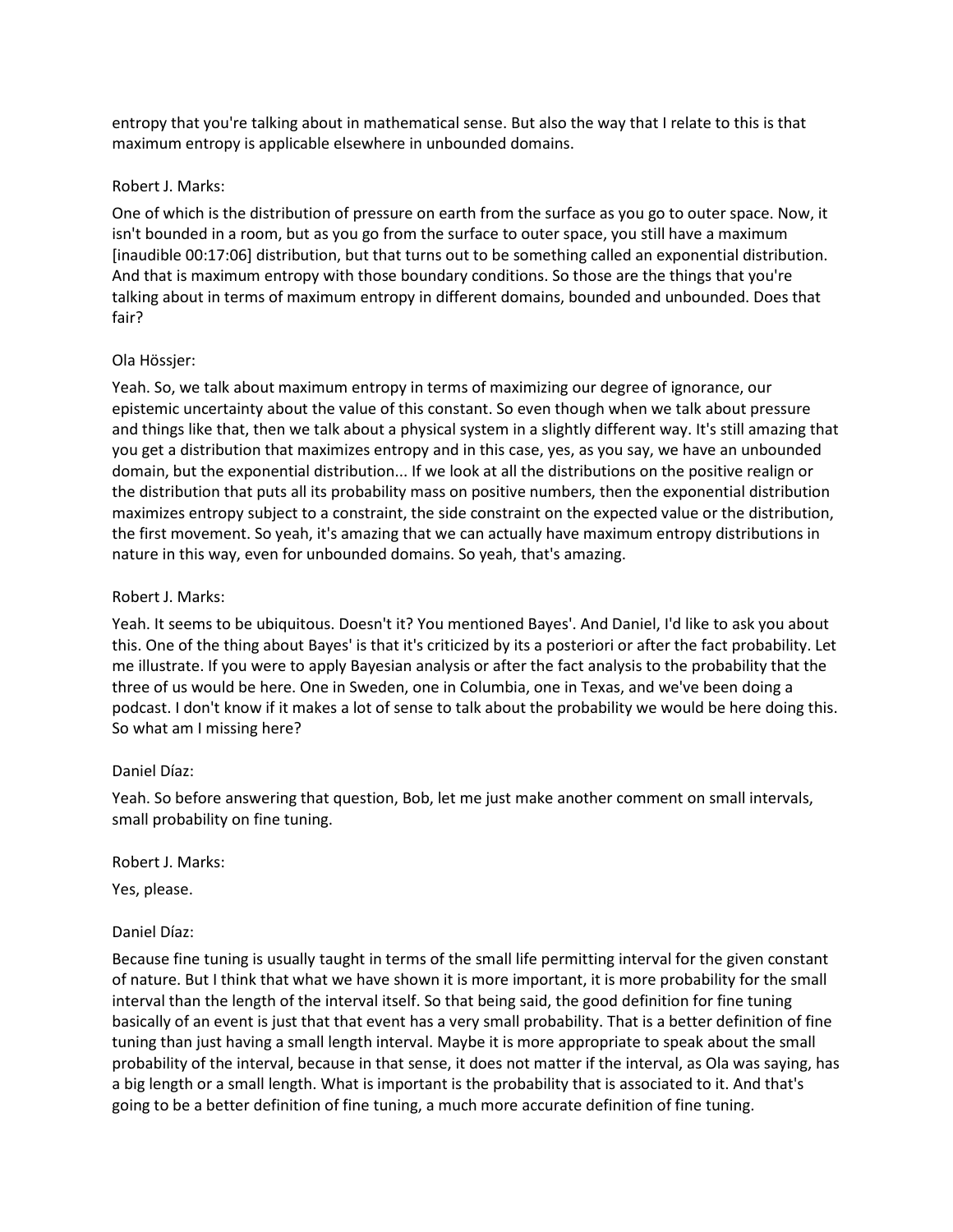entropy that you're talking about in mathematical sense. But also the way that I relate to this is that maximum entropy is applicable elsewhere in unbounded domains.

#### Robert J. Marks:

One of which is the distribution of pressure on earth from the surface as you go to outer space. Now, it isn't bounded in a room, but as you go from the surface to outer space, you still have a maximum [inaudible 00:17:06] distribution, but that turns out to be something called an exponential distribution. And that is maximum entropy with those boundary conditions. So those are the things that you're talking about in terms of maximum entropy in different domains, bounded and unbounded. Does that fair?

#### Ola Hössjer:

Yeah. So, we talk about maximum entropy in terms of maximizing our degree of ignorance, our epistemic uncertainty about the value of this constant. So even though when we talk about pressure and things like that, then we talk about a physical system in a slightly different way. It's still amazing that you get a distribution that maximizes entropy and in this case, yes, as you say, we have an unbounded domain, but the exponential distribution... If we look at all the distributions on the positive realign or the distribution that puts all its probability mass on positive numbers, then the exponential distribution maximizes entropy subject to a constraint, the side constraint on the expected value or the distribution, the first movement. So yeah, it's amazing that we can actually have maximum entropy distributions in nature in this way, even for unbounded domains. So yeah, that's amazing.

#### Robert J. Marks:

Yeah. It seems to be ubiquitous. Doesn't it? You mentioned Bayes'. And Daniel, I'd like to ask you about this. One of the thing about Bayes' is that it's criticized by its a posteriori or after the fact probability. Let me illustrate. If you were to apply Bayesian analysis or after the fact analysis to the probability that the three of us would be here. One in Sweden, one in Columbia, one in Texas, and we've been doing a podcast. I don't know if it makes a lot of sense to talk about the probability we would be here doing this. So what am I missing here?

#### Daniel Díaz:

Yeah. So before answering that question, Bob, let me just make another comment on small intervals, small probability on fine tuning.

Robert J. Marks:

Yes, please.

# Daniel Díaz:

Because fine tuning is usually taught in terms of the small life permitting interval for the given constant of nature. But I think that what we have shown it is more important, it is more probability for the small interval than the length of the interval itself. So that being said, the good definition for fine tuning basically of an event is just that that event has a very small probability. That is a better definition of fine tuning than just having a small length interval. Maybe it is more appropriate to speak about the small probability of the interval, because in that sense, it does not matter if the interval, as Ola was saying, has a big length or a small length. What is important is the probability that is associated to it. And that's going to be a better definition of fine tuning, a much more accurate definition of fine tuning.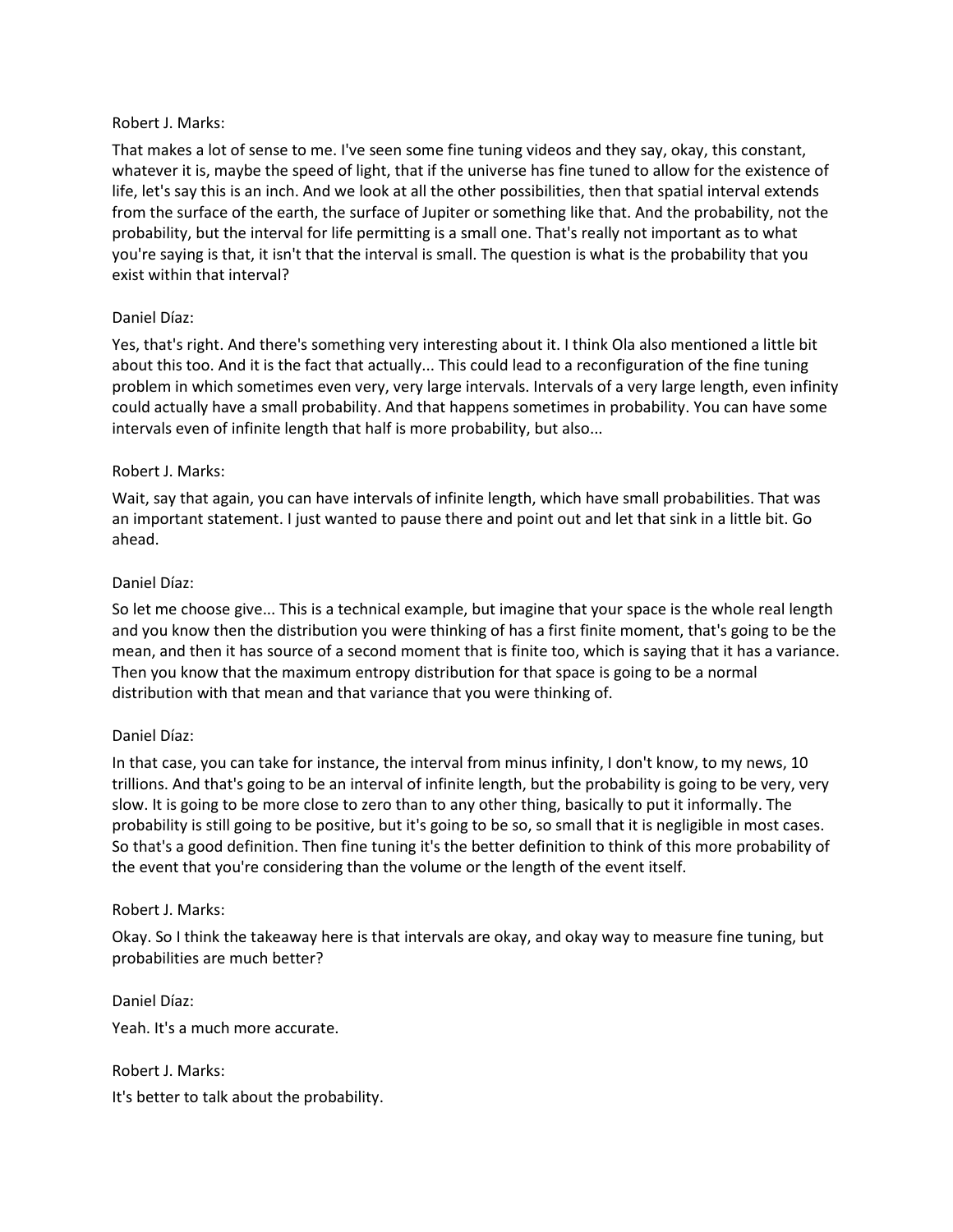That makes a lot of sense to me. I've seen some fine tuning videos and they say, okay, this constant, whatever it is, maybe the speed of light, that if the universe has fine tuned to allow for the existence of life, let's say this is an inch. And we look at all the other possibilities, then that spatial interval extends from the surface of the earth, the surface of Jupiter or something like that. And the probability, not the probability, but the interval for life permitting is a small one. That's really not important as to what you're saying is that, it isn't that the interval is small. The question is what is the probability that you exist within that interval?

# Daniel Díaz:

Yes, that's right. And there's something very interesting about it. I think Ola also mentioned a little bit about this too. And it is the fact that actually... This could lead to a reconfiguration of the fine tuning problem in which sometimes even very, very large intervals. Intervals of a very large length, even infinity could actually have a small probability. And that happens sometimes in probability. You can have some intervals even of infinite length that half is more probability, but also...

# Robert J. Marks:

Wait, say that again, you can have intervals of infinite length, which have small probabilities. That was an important statement. I just wanted to pause there and point out and let that sink in a little bit. Go ahead.

# Daniel Díaz:

So let me choose give... This is a technical example, but imagine that your space is the whole real length and you know then the distribution you were thinking of has a first finite moment, that's going to be the mean, and then it has source of a second moment that is finite too, which is saying that it has a variance. Then you know that the maximum entropy distribution for that space is going to be a normal distribution with that mean and that variance that you were thinking of.

# Daniel Díaz:

In that case, you can take for instance, the interval from minus infinity, I don't know, to my news, 10 trillions. And that's going to be an interval of infinite length, but the probability is going to be very, very slow. It is going to be more close to zero than to any other thing, basically to put it informally. The probability is still going to be positive, but it's going to be so, so small that it is negligible in most cases. So that's a good definition. Then fine tuning it's the better definition to think of this more probability of the event that you're considering than the volume or the length of the event itself.

# Robert J. Marks:

Okay. So I think the takeaway here is that intervals are okay, and okay way to measure fine tuning, but probabilities are much better?

Daniel Díaz: Yeah. It's a much more accurate.

Robert J. Marks: It's better to talk about the probability.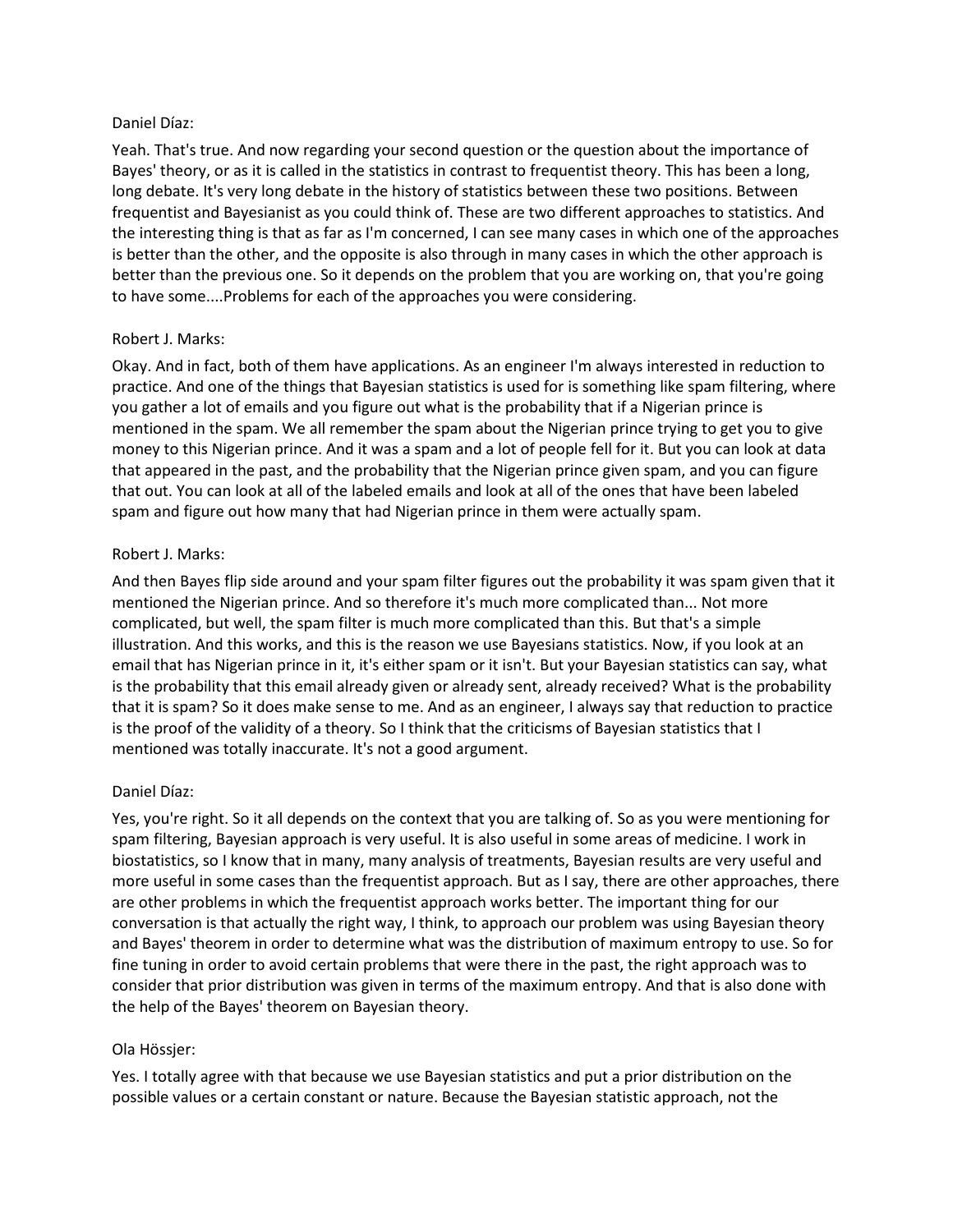#### Daniel Díaz:

Yeah. That's true. And now regarding your second question or the question about the importance of Bayes' theory, or as it is called in the statistics in contrast to frequentist theory. This has been a long, long debate. It's very long debate in the history of statistics between these two positions. Between frequentist and Bayesianist as you could think of. These are two different approaches to statistics. And the interesting thing is that as far as I'm concerned, I can see many cases in which one of the approaches is better than the other, and the opposite is also through in many cases in which the other approach is better than the previous one. So it depends on the problem that you are working on, that you're going to have some....Problems for each of the approaches you were considering.

# Robert J. Marks:

Okay. And in fact, both of them have applications. As an engineer I'm always interested in reduction to practice. And one of the things that Bayesian statistics is used for is something like spam filtering, where you gather a lot of emails and you figure out what is the probability that if a Nigerian prince is mentioned in the spam. We all remember the spam about the Nigerian prince trying to get you to give money to this Nigerian prince. And it was a spam and a lot of people fell for it. But you can look at data that appeared in the past, and the probability that the Nigerian prince given spam, and you can figure that out. You can look at all of the labeled emails and look at all of the ones that have been labeled spam and figure out how many that had Nigerian prince in them were actually spam.

#### Robert J. Marks:

And then Bayes flip side around and your spam filter figures out the probability it was spam given that it mentioned the Nigerian prince. And so therefore it's much more complicated than... Not more complicated, but well, the spam filter is much more complicated than this. But that's a simple illustration. And this works, and this is the reason we use Bayesians statistics. Now, if you look at an email that has Nigerian prince in it, it's either spam or it isn't. But your Bayesian statistics can say, what is the probability that this email already given or already sent, already received? What is the probability that it is spam? So it does make sense to me. And as an engineer, I always say that reduction to practice is the proof of the validity of a theory. So I think that the criticisms of Bayesian statistics that I mentioned was totally inaccurate. It's not a good argument.

# Daniel Díaz:

Yes, you're right. So it all depends on the context that you are talking of. So as you were mentioning for spam filtering, Bayesian approach is very useful. It is also useful in some areas of medicine. I work in biostatistics, so I know that in many, many analysis of treatments, Bayesian results are very useful and more useful in some cases than the frequentist approach. But as I say, there are other approaches, there are other problems in which the frequentist approach works better. The important thing for our conversation is that actually the right way, I think, to approach our problem was using Bayesian theory and Bayes' theorem in order to determine what was the distribution of maximum entropy to use. So for fine tuning in order to avoid certain problems that were there in the past, the right approach was to consider that prior distribution was given in terms of the maximum entropy. And that is also done with the help of the Bayes' theorem on Bayesian theory.

#### Ola Hössjer:

Yes. I totally agree with that because we use Bayesian statistics and put a prior distribution on the possible values or a certain constant or nature. Because the Bayesian statistic approach, not the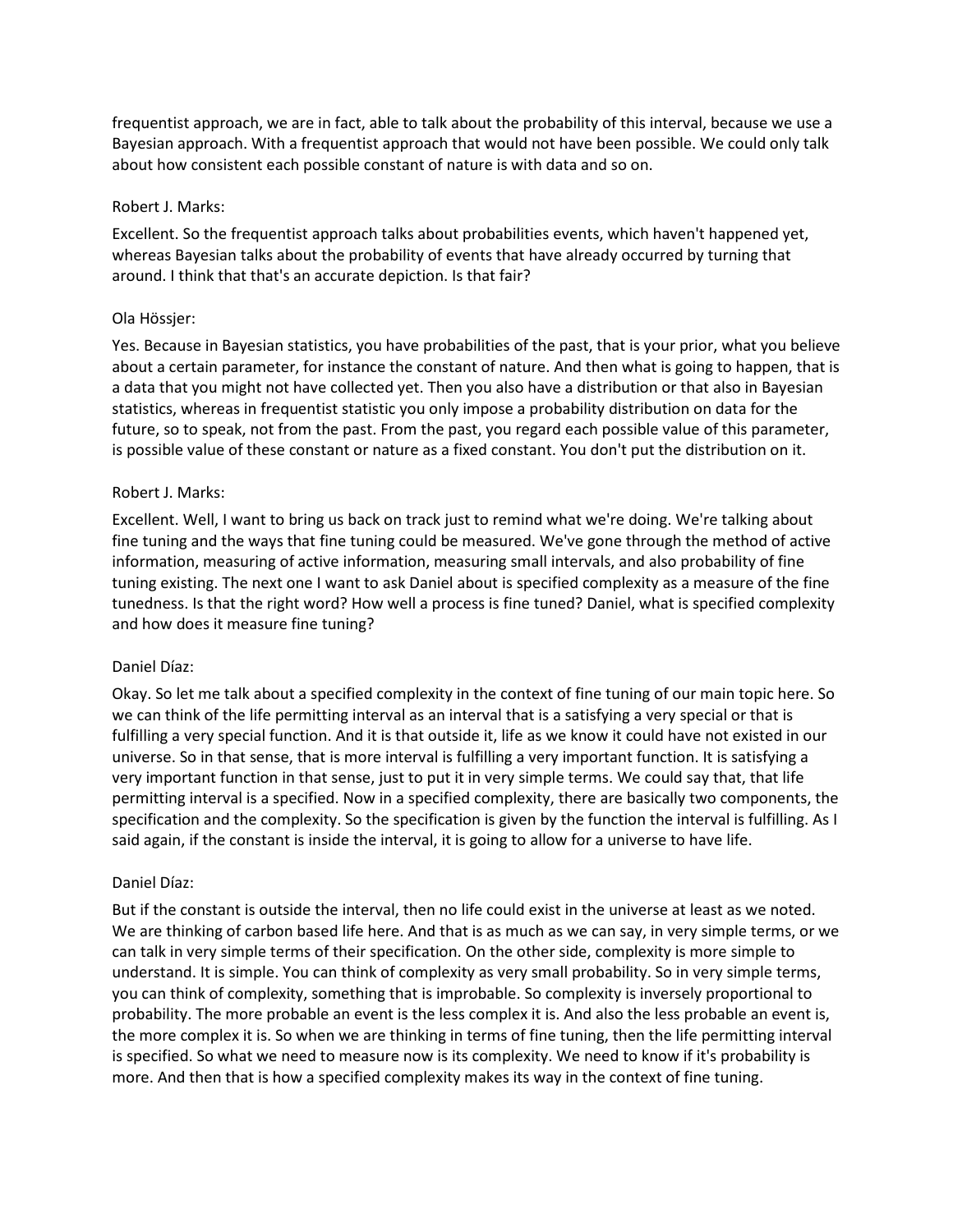frequentist approach, we are in fact, able to talk about the probability of this interval, because we use a Bayesian approach. With a frequentist approach that would not have been possible. We could only talk about how consistent each possible constant of nature is with data and so on.

#### Robert J. Marks:

Excellent. So the frequentist approach talks about probabilities events, which haven't happened yet, whereas Bayesian talks about the probability of events that have already occurred by turning that around. I think that that's an accurate depiction. Is that fair?

#### Ola Hössjer:

Yes. Because in Bayesian statistics, you have probabilities of the past, that is your prior, what you believe about a certain parameter, for instance the constant of nature. And then what is going to happen, that is a data that you might not have collected yet. Then you also have a distribution or that also in Bayesian statistics, whereas in frequentist statistic you only impose a probability distribution on data for the future, so to speak, not from the past. From the past, you regard each possible value of this parameter, is possible value of these constant or nature as a fixed constant. You don't put the distribution on it.

#### Robert J. Marks:

Excellent. Well, I want to bring us back on track just to remind what we're doing. We're talking about fine tuning and the ways that fine tuning could be measured. We've gone through the method of active information, measuring of active information, measuring small intervals, and also probability of fine tuning existing. The next one I want to ask Daniel about is specified complexity as a measure of the fine tunedness. Is that the right word? How well a process is fine tuned? Daniel, what is specified complexity and how does it measure fine tuning?

# Daniel Díaz:

Okay. So let me talk about a specified complexity in the context of fine tuning of our main topic here. So we can think of the life permitting interval as an interval that is a satisfying a very special or that is fulfilling a very special function. And it is that outside it, life as we know it could have not existed in our universe. So in that sense, that is more interval is fulfilling a very important function. It is satisfying a very important function in that sense, just to put it in very simple terms. We could say that, that life permitting interval is a specified. Now in a specified complexity, there are basically two components, the specification and the complexity. So the specification is given by the function the interval is fulfilling. As I said again, if the constant is inside the interval, it is going to allow for a universe to have life.

# Daniel Díaz:

But if the constant is outside the interval, then no life could exist in the universe at least as we noted. We are thinking of carbon based life here. And that is as much as we can say, in very simple terms, or we can talk in very simple terms of their specification. On the other side, complexity is more simple to understand. It is simple. You can think of complexity as very small probability. So in very simple terms, you can think of complexity, something that is improbable. So complexity is inversely proportional to probability. The more probable an event is the less complex it is. And also the less probable an event is, the more complex it is. So when we are thinking in terms of fine tuning, then the life permitting interval is specified. So what we need to measure now is its complexity. We need to know if it's probability is more. And then that is how a specified complexity makes its way in the context of fine tuning.